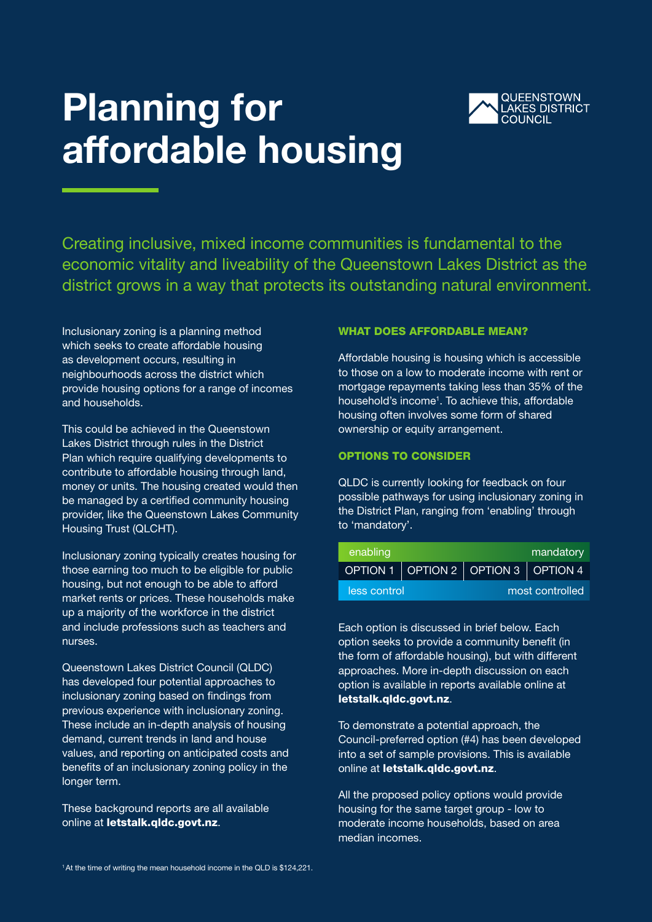### Planning for affordable housing



Creating inclusive, mixed income communities is fundamental to the economic vitality and liveability of the Queenstown Lakes District as the district grows in a way that protects its outstanding natural environment.

Inclusionary zoning is a planning method which seeks to create affordable housing as development occurs, resulting in neighbourhoods across the district which provide housing options for a range of incomes and households.

This could be achieved in the Queenstown Lakes District through rules in the District Plan which require qualifying developments to contribute to affordable housing through land, money or units. The housing created would then be managed by a certified community housing provider, like the Queenstown Lakes Community Housing Trust (QLCHT).

Inclusionary zoning typically creates housing for those earning too much to be eligible for public housing, but not enough to be able to afford market rents or prices. These households make up a majority of the workforce in the district and include professions such as teachers and nurses.

Queenstown Lakes District Council (QLDC) has developed four potential approaches to inclusionary zoning based on findings from previous experience with inclusionary zoning. These include an in-depth analysis of housing demand, current trends in land and house values, and reporting on anticipated costs and benefits of an inclusionary zoning policy in the longer term.

These background reports are all available online at letstalk.gldc.govt.nz.

#### WHAT DOES AFFORDABLE MEAN?

Affordable housing is housing which is accessible to those on a low to moderate income with rent or mortgage repayments taking less than 35% of the household's income<sup>1</sup>. To achieve this, affordable housing often involves some form of shared ownership or equity arrangement.

#### OPTIONS TO CONSIDER

QLDC is currently looking for feedback on four possible pathways for using inclusionary zoning in the District Plan, ranging from 'enabling' through to 'mandatory'.

| enabling     |  |                                     | mandatory |
|--------------|--|-------------------------------------|-----------|
|              |  | OPTION 1 OPTION 2 OPTION 3 OPTION 4 |           |
| less control |  | most controlled                     |           |

Each option is discussed in brief below. Each option seeks to provide a community benefit (in the form of affordable housing), but with different approaches. More in-depth discussion on each option is available in reports available online at letstalk.qldc.govt.nz.

To demonstrate a potential approach, the Council-preferred option (#4) has been developed into a set of sample provisions. This is available online at letstalk.gldc.govt.nz.

All the proposed policy options would provide housing for the same target group - low to moderate income households, based on area median incomes.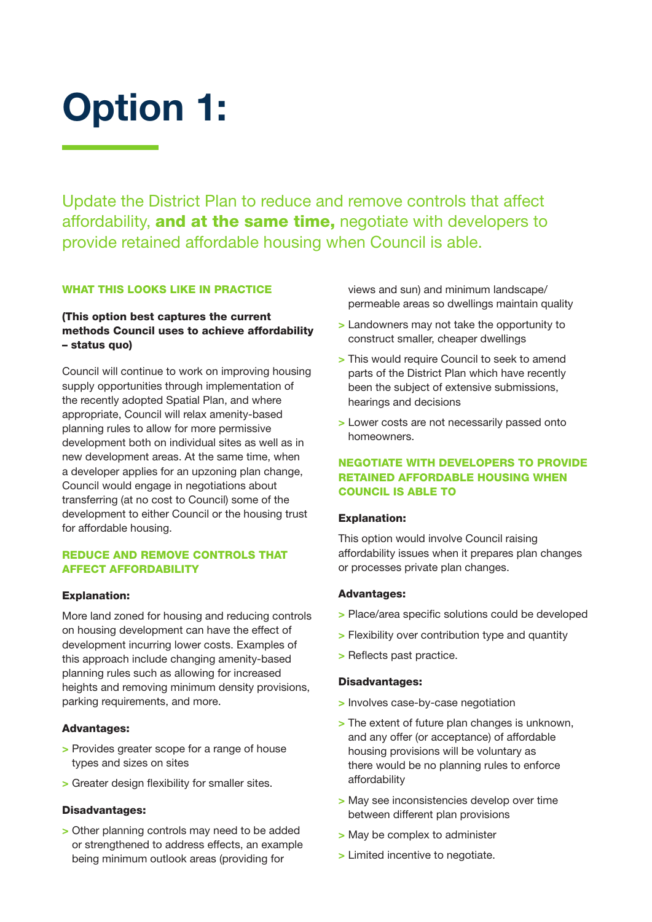## Option 1:

Update the District Plan to reduce and remove controls that affect affordability, and at the same time, negotiate with developers to provide retained affordable housing when Council is able.

#### WHAT THIS LOOKS LIKE IN PRACTICE

#### (This option best captures the current methods Council uses to achieve affordability – status quo)

Council will continue to work on improving housing supply opportunities through implementation of the recently adopted Spatial Plan, and where appropriate, Council will relax amenity-based planning rules to allow for more permissive development both on individual sites as well as in new development areas. At the same time, when a developer applies for an upzoning plan change, Council would engage in negotiations about transferring (at no cost to Council) some of the development to either Council or the housing trust for affordable housing.

#### REDUCE AND REMOVE CONTROLS THAT AFFECT AFFORDABILITY

#### Explanation:

More land zoned for housing and reducing controls on housing development can have the effect of development incurring lower costs. Examples of this approach include changing amenity-based planning rules such as allowing for increased heights and removing minimum density provisions, parking requirements, and more.

#### Advantages:

- > Provides greater scope for a range of house types and sizes on sites
- > Greater design flexibility for smaller sites.

#### Disadvantages:

> Other planning controls may need to be added or strengthened to address effects, an example being minimum outlook areas (providing for

views and sun) and minimum landscape/ permeable areas so dwellings maintain quality

- > Landowners may not take the opportunity to construct smaller, cheaper dwellings
- > This would require Council to seek to amend parts of the District Plan which have recently been the subject of extensive submissions, hearings and decisions
- > Lower costs are not necessarily passed onto homeowners.

#### NEGOTIATE WITH DEVELOPERS TO PROVIDE RETAINED AFFORDABLE HOUSING WHEN COUNCIL IS ABLE TO

#### Explanation:

This option would involve Council raising affordability issues when it prepares plan changes or processes private plan changes.

#### Advantages:

- > Place/area specific solutions could be developed
- > Flexibility over contribution type and quantity
- > Reflects past practice.

- > Involves case-by-case negotiation
- > The extent of future plan changes is unknown, and any offer (or acceptance) of affordable housing provisions will be voluntary as there would be no planning rules to enforce affordability
- > May see inconsistencies develop over time between different plan provisions
- > May be complex to administer
- > Limited incentive to negotiate.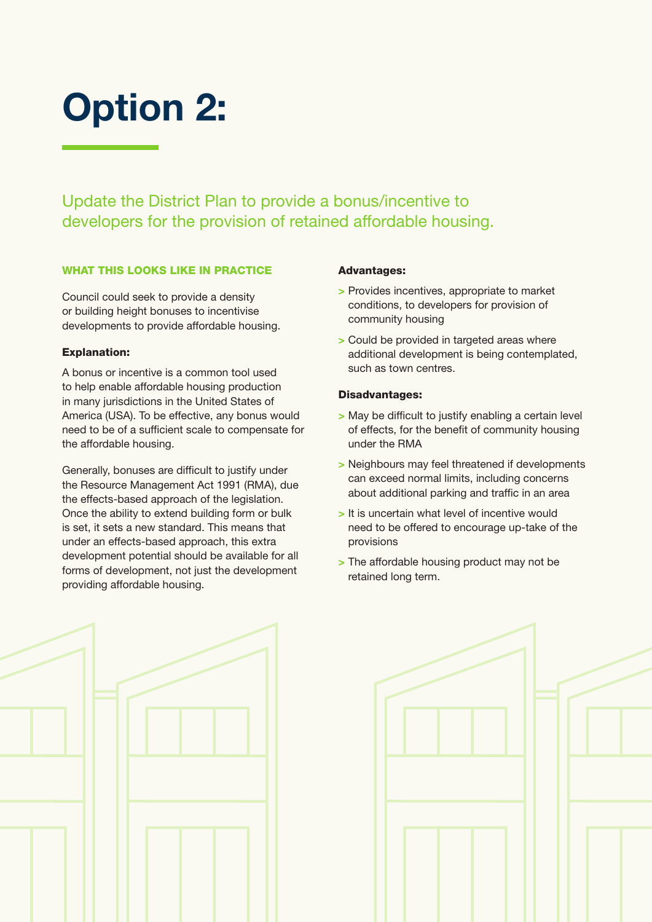# Option 2:

Update the District Plan to provide a bonus/incentive to developers for the provision of retained affordable housing.

#### WHAT THIS LOOKS LIKE IN PRACTICE

Council could seek to provide a density or building height bonuses to incentivise developments to provide affordable housing.

#### Explanation:

A bonus or incentive is a common tool used to help enable affordable housing production in many jurisdictions in the United States of America (USA). To be effective, any bonus would need to be of a sufficient scale to compensate for the affordable housing.

Generally, bonuses are difficult to justify under the Resource Management Act 1991 (RMA), due the effects-based approach of the legislation. Once the ability to extend building form or bulk is set, it sets a new standard. This means that under an effects-based approach, this extra development potential should be available for all forms of development, not just the development providing affordable housing.

#### Advantages:

- > Provides incentives, appropriate to market conditions, to developers for provision of community housing
- > Could be provided in targeted areas where additional development is being contemplated, such as town centres.

- > May be difficult to justify enabling a certain level of effects, for the benefit of community housing under the RMA
- > Neighbours may feel threatened if developments can exceed normal limits, including concerns about additional parking and traffic in an area
- > It is uncertain what level of incentive would need to be offered to encourage up-take of the provisions
- > The affordable housing product may not be retained long term.



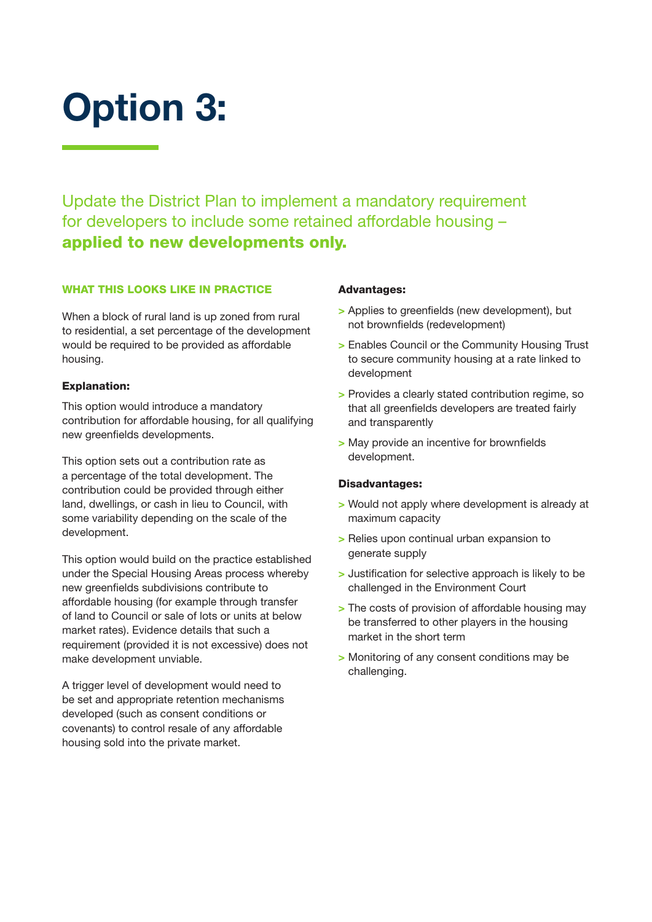# Option 3:

Update the District Plan to implement a mandatory requirement for developers to include some retained affordable housing – applied to new developments only.

#### WHAT THIS LOOKS LIKE IN PRACTICE

When a block of rural land is up zoned from rural to residential, a set percentage of the development would be required to be provided as affordable housing.

#### Explanation:

This option would introduce a mandatory contribution for affordable housing, for all qualifying new greenfields developments.

This option sets out a contribution rate as a percentage of the total development. The contribution could be provided through either land, dwellings, or cash in lieu to Council, with some variability depending on the scale of the development.

This option would build on the practice established under the Special Housing Areas process whereby new greenfields subdivisions contribute to affordable housing (for example through transfer of land to Council or sale of lots or units at below market rates). Evidence details that such a requirement (provided it is not excessive) does not make development unviable.

A trigger level of development would need to be set and appropriate retention mechanisms developed (such as consent conditions or covenants) to control resale of any affordable housing sold into the private market.

#### Advantages:

- > Applies to greenfields (new development), but not brownfields (redevelopment)
- > Enables Council or the Community Housing Trust to secure community housing at a rate linked to development
- > Provides a clearly stated contribution regime, so that all greenfields developers are treated fairly and transparently
- > May provide an incentive for brownfields development.

- > Would not apply where development is already at maximum capacity
- > Relies upon continual urban expansion to generate supply
- > Justification for selective approach is likely to be challenged in the Environment Court
- > The costs of provision of affordable housing may be transferred to other players in the housing market in the short term
- > Monitoring of any consent conditions may be challenging.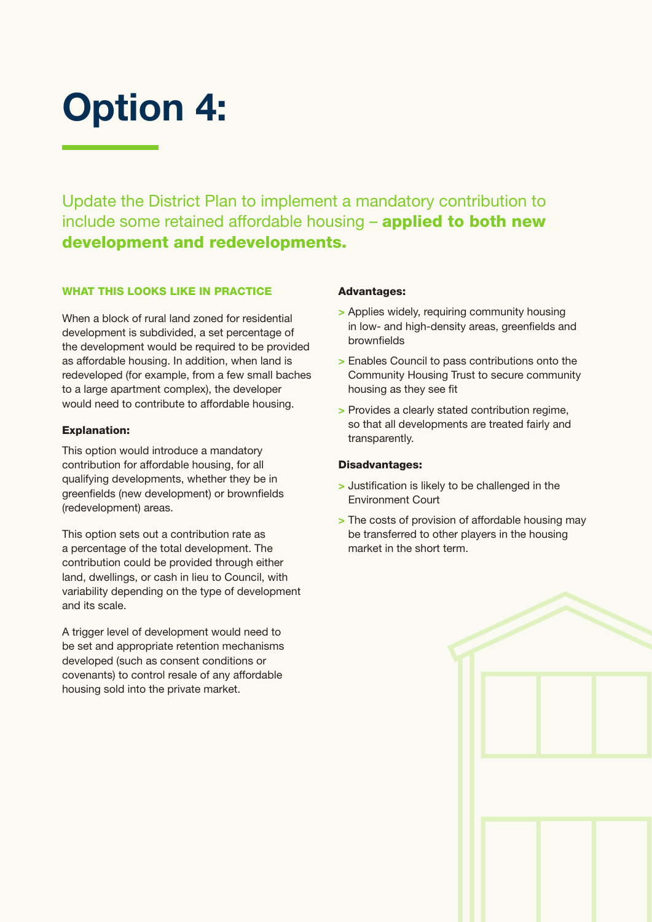## Option 4:

Update the District Plan to implement a mandatory contribution to include some retained affordable housing - applied to both new development and redevelopments.

#### WHAT THIS LOOKS LIKE IN PRACTICE

When a block of rural land zoned for residential development is subdivided, a set percentage of the development would be required to be provided as affordable housing. In addition, when land is redeveloped (for example, from a few small baches to a large apartment complex), the developer would need to contribute to affordable housing.

#### Explanation:

This option would introduce a mandatory contribution for affordable housing, for all qualifying developments, whether they be in greenfields (new development) or brownfields (redevelopment) areas.

This option sets out a contribution rate as a percentage of the total development. The contribution could be provided through either land, dwellings, or cash in lieu to Council, with variability depending on the type of development and its scale.

A trigger level of development would need to be set and appropriate retention mechanisms developed (such as consent conditions or covenants) to control resale of any affordable housing sold into the private market.

#### Advantages:

- > Applies widely, requiring community housing in low- and high-density areas, greenfields and brownfields
- > Enables Council to pass contributions onto the Community Housing Trust to secure community housing as they see fit
- > Provides a clearly stated contribution regime, so that all developments are treated fairly and transparently.

- > Justification is likely to be challenged in the Environment Court
- > The costs of provision of affordable housing may be transferred to other players in the housing market in the short term.